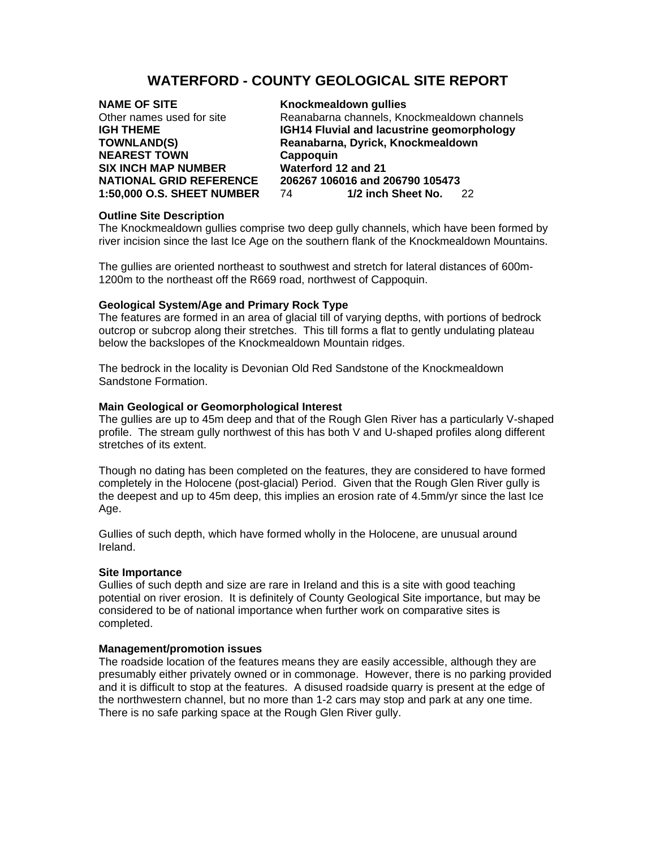# **WATERFORD - COUNTY GEOLOGICAL SITE REPORT**

# **NAME OF SITE** Knockmealdown gullies **NEAREST TOWN**<br>
SIX INCH MAP NUMBER **SIX INCH MAP NUMBER**Waterford 12 and 21 **SIX INCH MAP NUMBER**

Other names used for site Reanabarna channels, Knockmealdown channels **IGHT4 Fluvial and lacustrine geomorphology TOWNLAND(S) Reanabarna, Dyrick, Knockmealdown NATIONAL GRID REFERENCE 206267 106016 and 206790 105473 1:50,000 O.S. SHEET NUMBER** 74 **1/2 inch Sheet No.** 22

# **Outline Site Description**

The Knockmealdown gullies comprise two deep gully channels, which have been formed by river incision since the last Ice Age on the southern flank of the Knockmealdown Mountains.

The gullies are oriented northeast to southwest and stretch for lateral distances of 600m-1200m to the northeast off the R669 road, northwest of Cappoquin.

# **Geological System/Age and Primary Rock Type**

The features are formed in an area of glacial till of varying depths, with portions of bedrock outcrop or subcrop along their stretches. This till forms a flat to gently undulating plateau below the backslopes of the Knockmealdown Mountain ridges.

The bedrock in the locality is Devonian Old Red Sandstone of the Knockmealdown Sandstone Formation.

### **Main Geological or Geomorphological Interest**

The gullies are up to 45m deep and that of the Rough Glen River has a particularly V-shaped profile. The stream gully northwest of this has both V and U-shaped profiles along different stretches of its extent.

Though no dating has been completed on the features, they are considered to have formed completely in the Holocene (post-glacial) Period. Given that the Rough Glen River gully is the deepest and up to 45m deep, this implies an erosion rate of 4.5mm/yr since the last Ice Age.

Gullies of such depth, which have formed wholly in the Holocene, are unusual around Ireland.

### **Site Importance**

Gullies of such depth and size are rare in Ireland and this is a site with good teaching potential on river erosion. It is definitely of County Geological Site importance, but may be considered to be of national importance when further work on comparative sites is completed.

### **Management/promotion issues**

The roadside location of the features means they are easily accessible, although they are presumably either privately owned or in commonage. However, there is no parking provided and it is difficult to stop at the features. A disused roadside quarry is present at the edge of the northwestern channel, but no more than 1-2 cars may stop and park at any one time. There is no safe parking space at the Rough Glen River gully.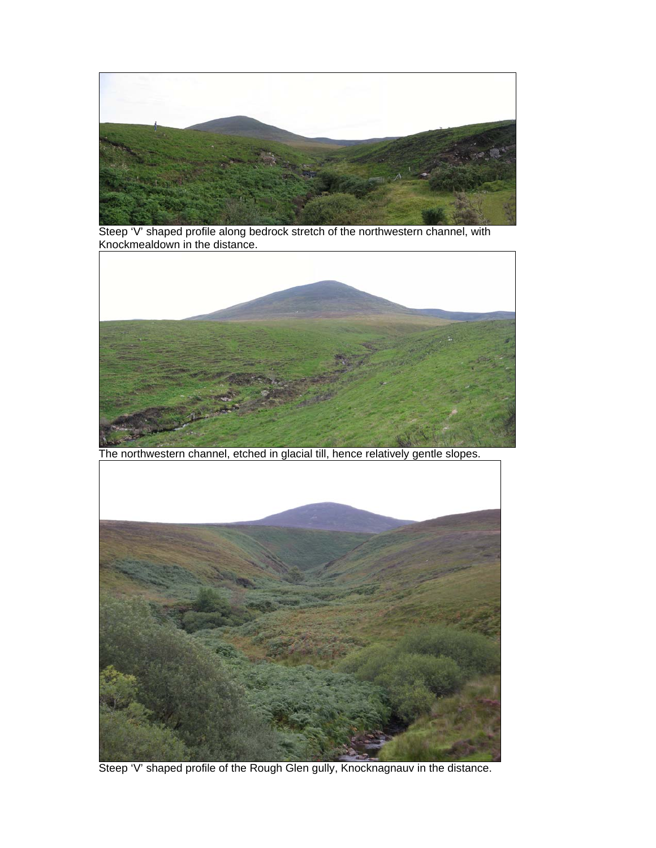

Steep 'V' shaped profile along bedrock stretch of the northwestern channel, with Knockmealdown in the distance.



The northwestern channel, etched in glacial till, hence relatively gentle slopes.



Steep 'V' shaped profile of the Rough Glen gully, Knocknagnauv in the distance.